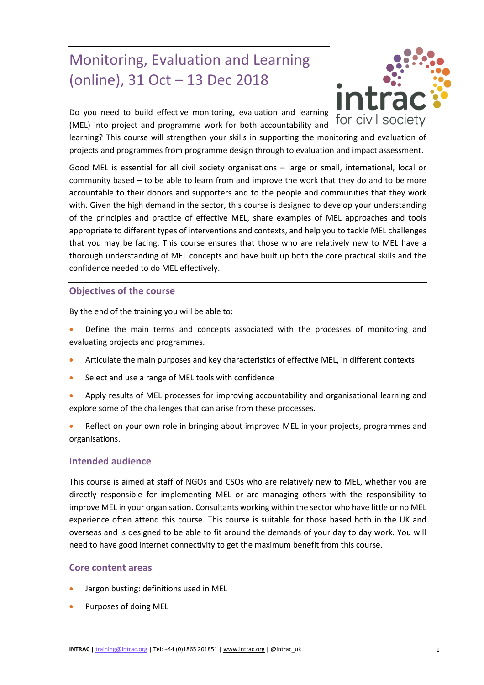# Monitoring, Evaluation and Learning (online), 31 Oct – 13 Dec 2018

Do you need to build effective monitoring, evaluation and learning (MEL) into project and programme work for both accountability and



learning? This course will strengthen your skills in supporting the monitoring and evaluation of projects and programmes from programme design through to evaluation and impact assessment.

Good MEL is essential for all civil society organisations – large or small, international, local or community based – to be able to learn from and improve the work that they do and to be more accountable to their donors and supporters and to the people and communities that they work with. Given the high demand in the sector, this course is designed to develop your understanding of the principles and practice of effective MEL, share examples of MEL approaches and tools appropriate to different types of interventions and contexts, and help you to tackle MEL challenges that you may be facing. This course ensures that those who are relatively new to MEL have a thorough understanding of MEL concepts and have built up both the core practical skills and the confidence needed to do MEL effectively.

## **Objectives of the course**

By the end of the training you will be able to:

- Define the main terms and concepts associated with the processes of monitoring and evaluating projects and programmes.
- Articulate the main purposes and key characteristics of effective MEL, in different contexts
- Select and use a range of MEL tools with confidence
- Apply results of MEL processes for improving accountability and organisational learning and explore some of the challenges that can arise from these processes.
- Reflect on your own role in bringing about improved MEL in your projects, programmes and organisations.

## **Intended audience**

This course is aimed at staff of NGOs and CSOs who are relatively new to MEL, whether you are directly responsible for implementing MEL or are managing others with the responsibility to improve MEL in your organisation. Consultants working within the sector who have little or no MEL experience often attend this course. This course is suitable for those based both in the UK and overseas and is designed to be able to fit around the demands of your day to day work. You will need to have good internet connectivity to get the maximum benefit from this course.

## **Core content areas**

- Jargon busting: definitions used in MEL
- Purposes of doing MEL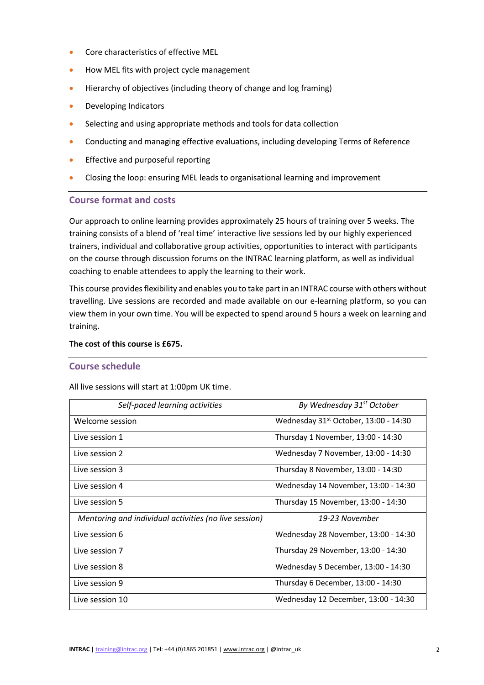- Core characteristics of effective MEL
- How MEL fits with project cycle management
- Hierarchy of objectives (including theory of change and log framing)
- **•** Developing Indicators
- Selecting and using appropriate methods and tools for data collection
- Conducting and managing effective evaluations, including developing Terms of Reference
- Effective and purposeful reporting
- Closing the loop: ensuring MEL leads to organisational learning and improvement

## **Course format and costs**

Our approach to online learning provides approximately 25 hours of training over 5 weeks. The training consists of a blend of 'real time' interactive live sessions led by our highly experienced trainers, individual and collaborative group activities, opportunities to interact with participants on the course through discussion forums on the INTRAC learning platform, as well as individual coaching to enable attendees to apply the learning to their work.

This course provides flexibility and enables you to take part in an INTRAC course with others without travelling. Live sessions are recorded and made available on our e-learning platform, so you can view them in your own time. You will be expected to spend around 5 hours a week on learning and training.

## **The cost of this course is £675.**

## **Course schedule**

All live sessions will start at 1:00pm UK time.

| Self-paced learning activities                        | By Wednesday 31 <sup>st</sup> October   |
|-------------------------------------------------------|-----------------------------------------|
| Welcome session                                       | Wednesday $31st$ October, 13:00 - 14:30 |
| Live session 1                                        | Thursday 1 November, 13:00 - 14:30      |
| Live session 2                                        | Wednesday 7 November, 13:00 - 14:30     |
| Live session 3                                        | Thursday 8 November, 13:00 - 14:30      |
| Live session 4                                        | Wednesday 14 November, 13:00 - 14:30    |
| Live session 5                                        | Thursday 15 November, 13:00 - 14:30     |
| Mentoring and individual activities (no live session) | 19-23 November                          |
| Live session 6                                        | Wednesday 28 November, 13:00 - 14:30    |
| Live session 7                                        | Thursday 29 November, 13:00 - 14:30     |
| Live session 8                                        | Wednesday 5 December, 13:00 - 14:30     |
| Live session 9                                        | Thursday 6 December, 13:00 - 14:30      |
| Live session 10                                       | Wednesday 12 December, 13:00 - 14:30    |